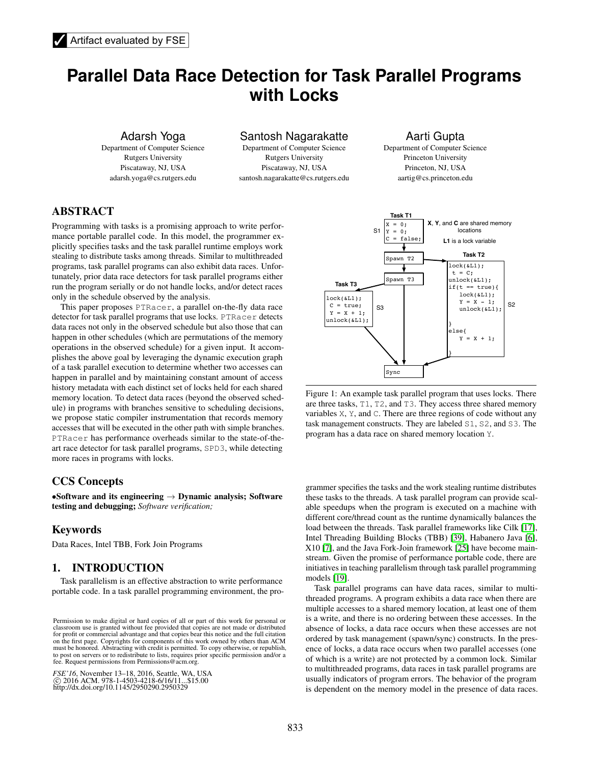# **Parallel Data Race Detection for Task Parallel Programs with Locks**

# Adarsh Yoga

Department of Computer Science Rutgers University Piscataway, NJ, USA adarsh.yoga@cs.rutgers.edu

Santosh Nagarakatte Department of Computer Science Rutgers University Piscataway, NJ, USA santosh.nagarakatte@cs.rutgers.edu

# Aarti Gupta

Department of Computer Science Princeton University Princeton, NJ, USA aartig@cs.princeton.edu

# ABSTRACT

Programming with tasks is a promising approach to write performance portable parallel code. In this model, the programmer explicitly specifies tasks and the task parallel runtime employs work stealing to distribute tasks among threads. Similar to multithreaded programs, task parallel programs can also exhibit data races. Unfortunately, prior data race detectors for task parallel programs either run the program serially or do not handle locks, and/or detect races only in the schedule observed by the analysis.

This paper proposes PTRacer, a parallel on-the-fly data race detector for task parallel programs that use locks. PTRacer detects data races not only in the observed schedule but also those that can happen in other schedules (which are permutations of the memory operations in the observed schedule) for a given input. It accomplishes the above goal by leveraging the dynamic execution graph of a task parallel execution to determine whether two accesses can happen in parallel and by maintaining constant amount of access history metadata with each distinct set of locks held for each shared memory location. To detect data races (beyond the observed schedule) in programs with branches sensitive to scheduling decisions, we propose static compiler instrumentation that records memory accesses that will be executed in the other path with simple branches. PTRacer has performance overheads similar to the state-of-theart race detector for task parallel programs, SPD3, while detecting more races in programs with locks.

## CCS Concepts

•Software and its engineering  $\rightarrow$  Dynamic analysis; Software testing and debugging; *Software verification;*

# Keywords

Data Races, Intel TBB, Fork Join Programs

# 1. INTRODUCTION

Task parallelism is an effective abstraction to write performance portable code. In a task parallel programming environment, the pro-

*FSE'16*, November 13–18, 2016, Seattle, WA, USA © 2016 ACM. 978-1-4503-4218-6/16/11...\$15.00 http://dx.doi.org/10.1145/2950290.2950329

<span id="page-0-0"></span>

Figure 1: An example task parallel program that uses locks. There are three tasks, T1, T2, and T3. They access three shared memory variables X, Y, and C. There are three regions of code without any task management constructs. They are labeled S1, S2, and S3. The program has a data race on shared memory location Y.

grammer specifies the tasks and the work stealing runtime distributes these tasks to the threads. A task parallel program can provide scalable speedups when the program is executed on a machine with different core/thread count as the runtime dynamically balances the load between the threads. Task parallel frameworks like Cilk [\[17\]](#page-11-0), Intel Threading Building Blocks (TBB) [\[39\]](#page-12-0), Habanero Java [\[6\]](#page-11-1), X10 [\[7\]](#page-11-2), and the Java Fork-Join framework [\[25\]](#page-11-3) have become mainstream. Given the promise of performance portable code, there are initiatives in teaching parallelism through task parallel programming models [\[19\]](#page-11-4).

Task parallel programs can have data races, similar to multithreaded programs. A program exhibits a data race when there are multiple accesses to a shared memory location, at least one of them is a write, and there is no ordering between these accesses. In the absence of locks, a data race occurs when these accesses are not ordered by task management (spawn/sync) constructs. In the presence of locks, a data race occurs when two parallel accesses (one of which is a write) are not protected by a common lock. Similar to multithreaded programs, data races in task parallel programs are usually indicators of program errors. The behavior of the program is dependent on the memory model in the presence of data races.

Permission to make digital or hard copies of all or part of this work for personal or classroom use is granted without fee provided that copies are not made or distributed for profit or commercial advantage and that copies bear this notice and the full citation on the first page. Copyrights for components of this work owned by others than ACM must be honored. Abstracting with credit is permitted. To copy otherwise, or republish, to post on servers or to redistribute to lists, requires prior specific permission and/or a fee. Request permissions from Permissions@acm.org.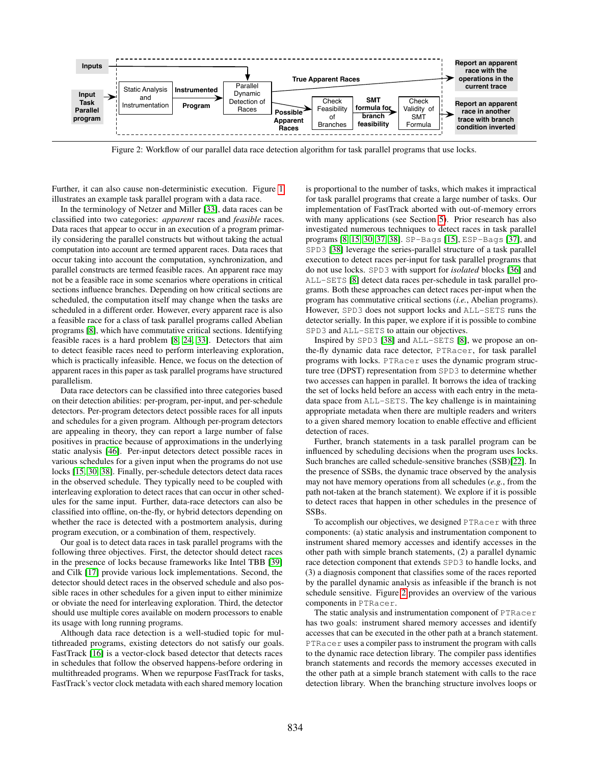<span id="page-1-0"></span>

Figure 2: Workflow of our parallel data race detection algorithm for task parallel programs that use locks.

Further, it can also cause non-deterministic execution. Figure [1](#page-0-0) illustrates an example task parallel program with a data race.

In the terminology of Netzer and Miller [\[33\]](#page-12-1), data races can be classified into two categories: *apparent* races and *feasible* races. Data races that appear to occur in an execution of a program primarily considering the parallel constructs but without taking the actual computation into account are termed apparent races. Data races that occur taking into account the computation, synchronization, and parallel constructs are termed feasible races. An apparent race may not be a feasible race in some scenarios where operations in critical sections influence branches. Depending on how critical sections are scheduled, the computation itself may change when the tasks are scheduled in a different order. However, every apparent race is also a feasible race for a class of task parallel programs called Abelian programs [\[8\]](#page-11-5), which have commutative critical sections. Identifying feasible races is a hard problem [\[8,](#page-11-5) [24,](#page-11-6) [33\]](#page-12-1). Detectors that aim to detect feasible races need to perform interleaving exploration, which is practically infeasible. Hence, we focus on the detection of apparent races in this paper as task parallel programs have structured parallelism.

Data race detectors can be classified into three categories based on their detection abilities: per-program, per-input, and per-schedule detectors. Per-program detectors detect possible races for all inputs and schedules for a given program. Although per-program detectors are appealing in theory, they can report a large number of false positives in practice because of approximations in the underlying static analysis [\[46\]](#page-12-2). Per-input detectors detect possible races in various schedules for a given input when the programs do not use locks [\[15,](#page-11-7) [30,](#page-12-3) [38\]](#page-12-4). Finally, per-schedule detectors detect data races in the observed schedule. They typically need to be coupled with interleaving exploration to detect races that can occur in other schedules for the same input. Further, data-race detectors can also be classified into offline, on-the-fly, or hybrid detectors depending on whether the race is detected with a postmortem analysis, during program execution, or a combination of them, respectively.

Our goal is to detect data races in task parallel programs with the following three objectives. First, the detector should detect races in the presence of locks because frameworks like Intel TBB [\[39\]](#page-12-0) and Cilk [\[17\]](#page-11-0) provide various lock implementations. Second, the detector should detect races in the observed schedule and also possible races in other schedules for a given input to either minimize or obviate the need for interleaving exploration. Third, the detector should use multiple cores available on modern processors to enable its usage with long running programs.

Although data race detection is a well-studied topic for multithreaded programs, existing detectors do not satisfy our goals. FastTrack [\[16\]](#page-11-8) is a vector-clock based detector that detects races in schedules that follow the observed happens-before ordering in multithreaded programs. When we repurpose FastTrack for tasks, FastTrack's vector clock metadata with each shared memory location is proportional to the number of tasks, which makes it impractical for task parallel programs that create a large number of tasks. Our implementation of FastTrack aborted with out-of-memory errors with many applications (see Section [5\)](#page-7-0). Prior research has also investigated numerous techniques to detect races in task parallel programs [\[8,](#page-11-5) [15,](#page-11-7) [30,](#page-12-3) [37,](#page-12-5) [38\]](#page-12-4). SP-Bags [\[15\]](#page-11-7), ESP-Bags [\[37\]](#page-12-5), and SPD3 [\[38\]](#page-12-4) leverage the series-parallel structure of a task parallel execution to detect races per-input for task parallel programs that do not use locks. SPD3 with support for *isolated* blocks [\[36\]](#page-12-6) and ALL-SETS [\[8\]](#page-11-5) detect data races per-schedule in task parallel programs. Both these approaches can detect races per-input when the program has commutative critical sections (*i.e.*, Abelian programs). However, SPD3 does not support locks and ALL-SETS runs the detector serially. In this paper, we explore if it is possible to combine SPD3 and ALL-SETS to attain our objectives.

Inspired by SPD3 [\[38\]](#page-12-4) and ALL-SETS [\[8\]](#page-11-5), we propose an onthe-fly dynamic data race detector, PTRacer, for task parallel programs with locks. PTRacer uses the dynamic program structure tree (DPST) representation from SPD3 to determine whether two accesses can happen in parallel. It borrows the idea of tracking the set of locks held before an access with each entry in the metadata space from ALL-SETS. The key challenge is in maintaining appropriate metadata when there are multiple readers and writers to a given shared memory location to enable effective and efficient detection of races.

Further, branch statements in a task parallel program can be influenced by scheduling decisions when the program uses locks. Such branches are called schedule-sensitive branches (SSB)[\[22\]](#page-11-9). In the presence of SSBs, the dynamic trace observed by the analysis may not have memory operations from all schedules (*e.g.*, from the path not-taken at the branch statement). We explore if it is possible to detect races that happen in other schedules in the presence of SSBs.

To accomplish our objectives, we designed PTRacer with three components: (a) static analysis and instrumentation component to instrument shared memory accesses and identify accesses in the other path with simple branch statements, (2) a parallel dynamic race detection component that extends SPD3 to handle locks, and (3) a diagnosis component that classifies some of the races reported by the parallel dynamic analysis as infeasible if the branch is not schedule sensitive. Figure [2](#page-1-0) provides an overview of the various components in PTRacer.

The static analysis and instrumentation component of PTRacer has two goals: instrument shared memory accesses and identify accesses that can be executed in the other path at a branch statement. PTRacer uses a compiler pass to instrument the program with calls to the dynamic race detection library. The compiler pass identifies branch statements and records the memory accesses executed in the other path at a simple branch statement with calls to the race detection library. When the branching structure involves loops or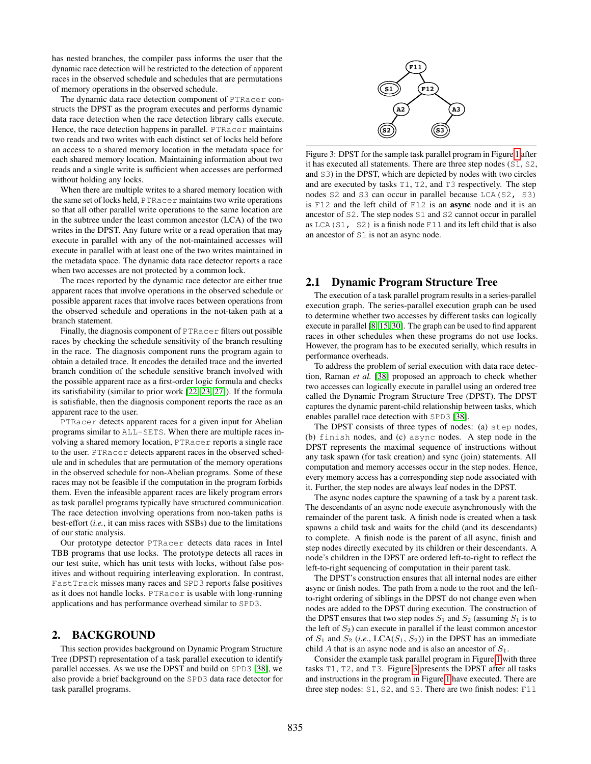has nested branches, the compiler pass informs the user that the dynamic race detection will be restricted to the detection of apparent races in the observed schedule and schedules that are permutations of memory operations in the observed schedule.

The dynamic data race detection component of PTRacer constructs the DPST as the program executes and performs dynamic data race detection when the race detection library calls execute. Hence, the race detection happens in parallel. PTRacer maintains two reads and two writes with each distinct set of locks held before an access to a shared memory location in the metadata space for each shared memory location. Maintaining information about two reads and a single write is sufficient when accesses are performed without holding any locks.

When there are multiple writes to a shared memory location with the same set of locks held, PTRacer maintains two write operations so that all other parallel write operations to the same location are in the subtree under the least common ancestor (LCA) of the two writes in the DPST. Any future write or a read operation that may execute in parallel with any of the not-maintained accesses will execute in parallel with at least one of the two writes maintained in the metadata space. The dynamic data race detector reports a race when two accesses are not protected by a common lock.

The races reported by the dynamic race detector are either true apparent races that involve operations in the observed schedule or possible apparent races that involve races between operations from the observed schedule and operations in the not-taken path at a branch statement.

Finally, the diagnosis component of PTRacer filters out possible races by checking the schedule sensitivity of the branch resulting in the race. The diagnosis component runs the program again to obtain a detailed trace. It encodes the detailed trace and the inverted branch condition of the schedule sensitive branch involved with the possible apparent race as a first-order logic formula and checks its satisfiability (similar to prior work [\[22,](#page-11-9) [23,](#page-11-10) [27\]](#page-12-7)). If the formula is satisfiable, then the diagnosis component reports the race as an apparent race to the user.

PTRacer detects apparent races for a given input for Abelian programs similar to ALL-SETS. When there are multiple races involving a shared memory location, PTRacer reports a single race to the user. PTRacer detects apparent races in the observed schedule and in schedules that are permutation of the memory operations in the observed schedule for non-Abelian programs. Some of these races may not be feasible if the computation in the program forbids them. Even the infeasible apparent races are likely program errors as task parallel programs typically have structured communication. The race detection involving operations from non-taken paths is best-effort (*i.e.*, it can miss races with SSBs) due to the limitations of our static analysis.

Our prototype detector PTRacer detects data races in Intel TBB programs that use locks. The prototype detects all races in our test suite, which has unit tests with locks, without false positives and without requiring interleaving exploration. In contrast, FastTrack misses many races and SPD3 reports false positives as it does not handle locks. PTRacer is usable with long-running applications and has performance overhead similar to SPD3.

#### 2. BACKGROUND

This section provides background on Dynamic Program Structure Tree (DPST) representation of a task parallel execution to identify parallel accesses. As we use the DPST and build on SPD3 [\[38\]](#page-12-4), we also provide a brief background on the SPD3 data race detector for task parallel programs.

<span id="page-2-0"></span>

Figure 3: DPST for the sample task parallel program in Figure [1](#page-0-0) after it has executed all statements. There are three step nodes (S1, S2, and S3) in the DPST, which are depicted by nodes with two circles and are executed by tasks T1, T2, and T3 respectively. The step nodes S2 and S3 can occur in parallel because LCA(S2, S3) is F12 and the left child of F12 is an async node and it is an ancestor of S2. The step nodes S1 and S2 cannot occur in parallel as LCA( $S1$ ,  $S2$ ) is a finish node F11 and its left child that is also an ancestor of S1 is not an async node.

### 2.1 Dynamic Program Structure Tree

The execution of a task parallel program results in a series-parallel execution graph. The series-parallel execution graph can be used to determine whether two accesses by different tasks can logically execute in parallel [\[8,](#page-11-5) [15,](#page-11-7) [30\]](#page-12-3). The graph can be used to find apparent races in other schedules when these programs do not use locks. However, the program has to be executed serially, which results in performance overheads.

To address the problem of serial execution with data race detection, Raman *et al.* [\[38\]](#page-12-4) proposed an approach to check whether two accesses can logically execute in parallel using an ordered tree called the Dynamic Program Structure Tree (DPST). The DPST captures the dynamic parent-child relationship between tasks, which enables parallel race detection with SPD3 [\[38\]](#page-12-4).

The DPST consists of three types of nodes: (a) step nodes, (b) finish nodes, and (c) async nodes. A step node in the DPST represents the maximal sequence of instructions without any task spawn (for task creation) and sync (join) statements. All computation and memory accesses occur in the step nodes. Hence, every memory access has a corresponding step node associated with it. Further, the step nodes are always leaf nodes in the DPST.

The async nodes capture the spawning of a task by a parent task. The descendants of an async node execute asynchronously with the remainder of the parent task. A finish node is created when a task spawns a child task and waits for the child (and its descendants) to complete. A finish node is the parent of all async, finish and step nodes directly executed by its children or their descendants. A node's children in the DPST are ordered left-to-right to reflect the left-to-right sequencing of computation in their parent task.

The DPST's construction ensures that all internal nodes are either async or finish nodes. The path from a node to the root and the leftto-right ordering of siblings in the DPST do not change even when nodes are added to the DPST during execution. The construction of the DPST ensures that two step nodes  $S_1$  and  $S_2$  (assuming  $S_1$  is to the left of  $S_2$ ) can execute in parallel if the least common ancestor of  $S_1$  and  $S_2$  (*i.e.*, LCA( $S_1$ ,  $S_2$ )) in the DPST has an immediate child A that is an async node and is also an ancestor of  $S_1$ .

Consider the example task parallel program in Figure [1](#page-0-0) with three tasks T1, T2, and T3. Figure [3](#page-2-0) presents the DPST after all tasks and instructions in the program in Figure [1](#page-0-0) have executed. There are three step nodes: S1, S2, and S3. There are two finish nodes: F11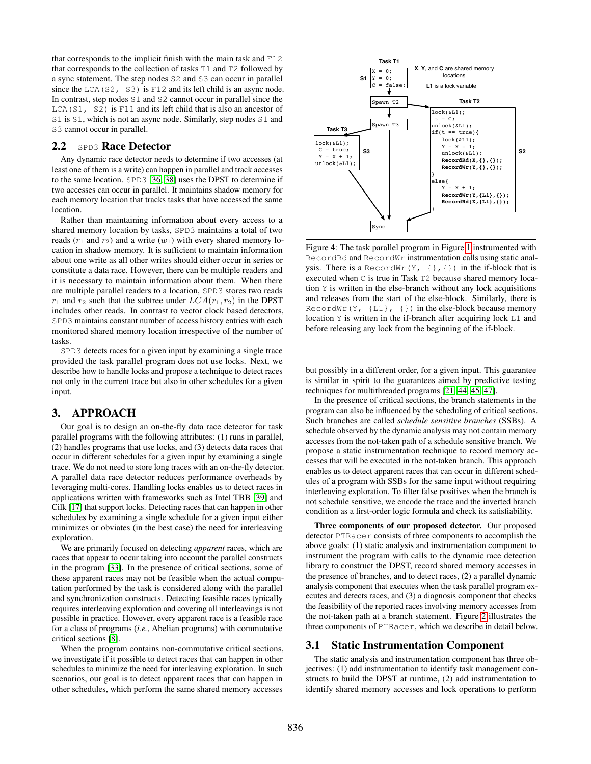that corresponds to the implicit finish with the main task and  $F12$ that corresponds to the collection of tasks T1 and T2 followed by a sync statement. The step nodes S2 and S3 can occur in parallel since the LCA(S2, S3) is F12 and its left child is an async node. In contrast, step nodes S1 and S2 cannot occur in parallel since the  $LCA(S1, S2)$  is F11 and its left child that is also an ancestor of S1 is S1, which is not an async node. Similarly, step nodes S1 and S3 cannot occur in parallel.

#### 2.2 SPD3 Race Detector

Any dynamic race detector needs to determine if two accesses (at least one of them is a write) can happen in parallel and track accesses to the same location. SPD3 [\[36,](#page-12-6) [38\]](#page-12-4) uses the DPST to determine if two accesses can occur in parallel. It maintains shadow memory for each memory location that tracks tasks that have accessed the same location.

Rather than maintaining information about every access to a shared memory location by tasks, SPD3 maintains a total of two reads ( $r_1$  and  $r_2$ ) and a write ( $w_1$ ) with every shared memory location in shadow memory. It is sufficient to maintain information about one write as all other writes should either occur in series or constitute a data race. However, there can be multiple readers and it is necessary to maintain information about them. When there are multiple parallel readers to a location, SPD3 stores two reads  $r_1$  and  $r_2$  such that the subtree under  $LCA(r_1, r_2)$  in the DPST includes other reads. In contrast to vector clock based detectors, SPD3 maintains constant number of access history entries with each monitored shared memory location irrespective of the number of tasks.

SPD3 detects races for a given input by examining a single trace provided the task parallel program does not use locks. Next, we describe how to handle locks and propose a technique to detect races not only in the current trace but also in other schedules for a given input.

# 3. APPROACH

Our goal is to design an on-the-fly data race detector for task parallel programs with the following attributes: (1) runs in parallel, (2) handles programs that use locks, and (3) detects data races that occur in different schedules for a given input by examining a single trace. We do not need to store long traces with an on-the-fly detector. A parallel data race detector reduces performance overheads by leveraging multi-cores. Handling locks enables us to detect races in applications written with frameworks such as Intel TBB [\[39\]](#page-12-0) and Cilk [\[17\]](#page-11-0) that support locks. Detecting races that can happen in other schedules by examining a single schedule for a given input either minimizes or obviates (in the best case) the need for interleaving exploration.

We are primarily focused on detecting *apparent* races, which are races that appear to occur taking into account the parallel constructs in the program [\[33\]](#page-12-1). In the presence of critical sections, some of these apparent races may not be feasible when the actual computation performed by the task is considered along with the parallel and synchronization constructs. Detecting feasible races typically requires interleaving exploration and covering all interleavings is not possible in practice. However, every apparent race is a feasible race for a class of programs (*i.e.*, Abelian programs) with commutative critical sections [\[8\]](#page-11-5).

When the program contains non-commutative critical sections, we investigate if it possible to detect races that can happen in other schedules to minimize the need for interleaving exploration. In such scenarios, our goal is to detect apparent races that can happen in other schedules, which perform the same shared memory accesses

<span id="page-3-0"></span>

Figure 4: The task parallel program in Figure [1](#page-0-0) instrumented with RecordRd and RecordWr instrumentation calls using static analysis. There is a RecordWr(Y,  $\{\}$ ,  $\{\}$ ) in the if-block that is executed when C is true in Task T2 because shared memory location Y is written in the else-branch without any lock acquisitions and releases from the start of the else-block. Similarly, there is RecordWr(Y,  ${L1}, {L1}$ ,  ${\})$  in the else-block because memory location Y is written in the if-branch after acquiring lock L1 and before releasing any lock from the beginning of the if-block.

but possibly in a different order, for a given input. This guarantee is similar in spirit to the guarantees aimed by predictive testing techniques for multithreaded programs [\[21,](#page-11-11) [44,](#page-12-8) [45,](#page-12-9) [47\]](#page-12-10).

In the presence of critical sections, the branch statements in the program can also be influenced by the scheduling of critical sections. Such branches are called *schedule sensitive branches* (SSBs). A schedule observed by the dynamic analysis may not contain memory accesses from the not-taken path of a schedule sensitive branch. We propose a static instrumentation technique to record memory accesses that will be executed in the not-taken branch. This approach enables us to detect apparent races that can occur in different schedules of a program with SSBs for the same input without requiring interleaving exploration. To filter false positives when the branch is not schedule sensitive, we encode the trace and the inverted branch condition as a first-order logic formula and check its satisfiability.

Three components of our proposed detector. Our proposed detector PTRacer consists of three components to accomplish the above goals: (1) static analysis and instrumentation component to instrument the program with calls to the dynamic race detection library to construct the DPST, record shared memory accesses in the presence of branches, and to detect races, (2) a parallel dynamic analysis component that executes when the task parallel program executes and detects races, and (3) a diagnosis component that checks the feasibility of the reported races involving memory accesses from the not-taken path at a branch statement. Figure [2](#page-1-0) illustrates the three components of PTRacer, which we describe in detail below.

#### 3.1 Static Instrumentation Component

The static analysis and instrumentation component has three objectives: (1) add instrumentation to identify task management constructs to build the DPST at runtime, (2) add instrumentation to identify shared memory accesses and lock operations to perform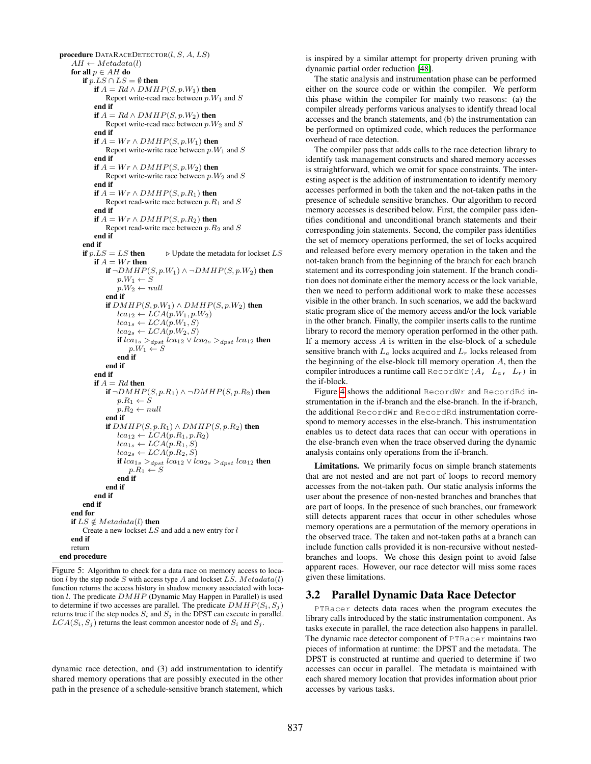<span id="page-4-0"></span>procedure  $DATARACEDETECTOR(l, S, A, LS)$  $AH \leftarrow Metadata(l)$ for all  $p \in AH$  do if  $p.LS \cap LS = \emptyset$  then if  $A = Rd \wedge DMHP(S, p.W_1)$  then Report write-read race between  $p.W_1$  and  $S$ end if if  $A = Rd \wedge DMHP(S, p.W_2)$  then Report write-read race between  $p.W_2$  and  $S$ end if if  $A = Wr \wedge DMHP(S, p.W_1)$  then Report write-write race between  $p.W_1$  and  $S$ end if if  $A = Wr \wedge DMHP(S, p.W_2)$  then Report write-write race between  $p.W_2$  and  $S$ end if if  $A = Wr \wedge DMHP(S, p.R_1)$  then Report read-write race between  $p, R_1$  and S end if if  $A = Wr \wedge DMHP(S, p.R_2)$  then Report read-write race between  $p.R_2$  and  $S$ end if end if<br>if  $p.LS = LS$  then  $\triangleright$  Update the metadata for lockset  $LS$ if  $A = Wr$  then if  $\neg DMHP(S, p.W_1)$  ∧  $\neg DMHP(S, p.W_2)$  then  $p.W_1 \leftarrow S$  $p.W_2 \leftarrow null$ end if if  $DMHP(S, p.W_1) \wedge DMHP(S, p.W_2)$  then  $lca_{12} \leftarrow LCA(p.W_1, p.W_2)$  $lca_{1s} \leftarrow LCA(p.W_1, S)$  $lca_{2s} \leftarrow LCA(p.W_2, S)$ if  $lca_{1s} >_{dpst} lca_{12} \vee lca_{2s} >_{dpst} lca_{12}$  then  $p.W_1 \leftarrow S$ end if end if end if if  $A = Rd$  then **if**  $\neg DMHP(S, p.R_1)$  ∧  $\neg DMHP(S, p.R_2)$  then  $p.R_1 \leftarrow S$  $p.R_2 \leftarrow null$ end if if  $DMHP(S, p.R_1) \wedge DMHP(S, p.R_2)$  then  $lca_{12} \leftarrow LCA(p.R_1, p.R_2)$  $lca_{1s} \leftarrow LCA(p.R_1, S)$  $lca_{2s} \leftarrow LCA(p.R_2, S)$ if  $lca_{1s}>_{dpst}lca_{12} \vee lca_{2s}>_{dpst}lca_{12}$  then  $p.R_1 \leftarrow S$ end if end if end if end if end for if  $LS \notin Metadata(l)$  then Create a new lockset  $LS$  and add a new entry for  $l$ end if return end procedure

Figure 5: Algorithm to check for a data race on memory access to location  $l$  by the step node  $S$  with access type  $A$  and lockset  $LS$ .  $Metadata(l)$ function returns the access history in shadow memory associated with location  $l$ . The predicate  $DMHP$  (Dynamic May Happen in Parallel) is used to determine if two accesses are parallel. The predicate  $DMHP(S_i, S_j)$ returns true if the step nodes  $S_i$  and  $S_j$  in the DPST can execute in parallel.  $LCA(S_i, S_j)$  returns the least common ancestor node of  $S_i$  and  $S_j$ .

dynamic race detection, and (3) add instrumentation to identify shared memory operations that are possibly executed in the other path in the presence of a schedule-sensitive branch statement, which is inspired by a similar attempt for property driven pruning with dynamic partial order reduction [\[48\]](#page-12-11).

The static analysis and instrumentation phase can be performed either on the source code or within the compiler. We perform this phase within the compiler for mainly two reasons: (a) the compiler already performs various analyses to identify thread local accesses and the branch statements, and (b) the instrumentation can be performed on optimized code, which reduces the performance overhead of race detection.

The compiler pass that adds calls to the race detection library to identify task management constructs and shared memory accesses is straightforward, which we omit for space constraints. The interesting aspect is the addition of instrumentation to identify memory accesses performed in both the taken and the not-taken paths in the presence of schedule sensitive branches. Our algorithm to record memory accesses is described below. First, the compiler pass identifies conditional and unconditional branch statements and their corresponding join statements. Second, the compiler pass identifies the set of memory operations performed, the set of locks acquired and released before every memory operation in the taken and the not-taken branch from the beginning of the branch for each branch statement and its corresponding join statement. If the branch condition does not dominate either the memory access or the lock variable, then we need to perform additional work to make these accesses visible in the other branch. In such scenarios, we add the backward static program slice of the memory access and/or the lock variable in the other branch. Finally, the compiler inserts calls to the runtime library to record the memory operation performed in the other path. If a memory access A is written in the else-block of a schedule sensitive branch with  $L_a$  locks acquired and  $L_r$  locks released from the beginning of the else-block till memory operation  $A$ , then the compiler introduces a runtime call RecordWr( $A$ ,  $L_a$ ,  $L_r$ ) in the if-block.

Figure [4](#page-3-0) shows the additional RecordWr and RecordRd instrumentation in the if-branch and the else-branch. In the if-branch, the additional RecordWr and RecordRd instrumentation correspond to memory accesses in the else-branch. This instrumentation enables us to detect data races that can occur with operations in the else-branch even when the trace observed during the dynamic analysis contains only operations from the if-branch.

Limitations. We primarily focus on simple branch statements that are not nested and are not part of loops to record memory accesses from the not-taken path. Our static analysis informs the user about the presence of non-nested branches and branches that are part of loops. In the presence of such branches, our framework still detects apparent races that occur in other schedules whose memory operations are a permutation of the memory operations in the observed trace. The taken and not-taken paths at a branch can include function calls provided it is non-recursive without nestedbranches and loops. We chose this design point to avoid false apparent races. However, our race detector will miss some races given these limitations.

#### 3.2 Parallel Dynamic Data Race Detector

PTRacer detects data races when the program executes the library calls introduced by the static instrumentation component. As tasks execute in parallel, the race detection also happens in parallel. The dynamic race detector component of PTRacer maintains two pieces of information at runtime: the DPST and the metadata. The DPST is constructed at runtime and queried to determine if two accesses can occur in parallel. The metadata is maintained with each shared memory location that provides information about prior accesses by various tasks.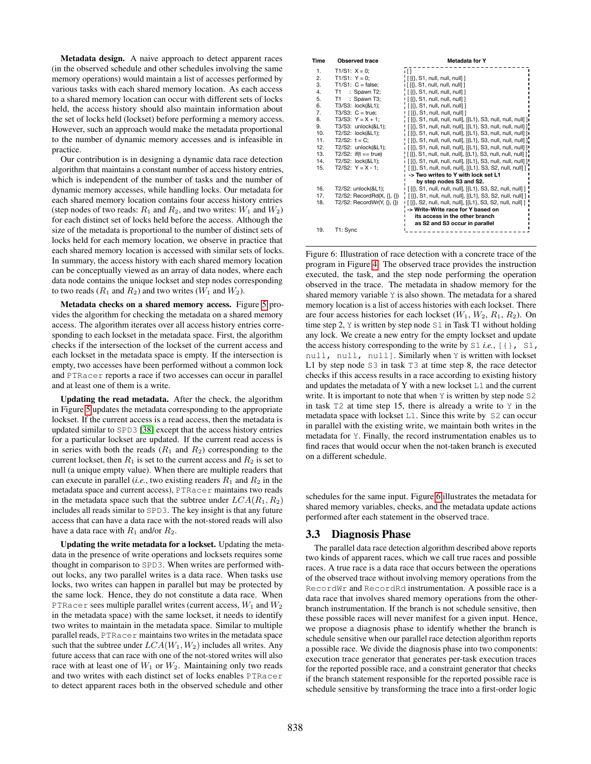Metadata design. A naive approach to detect apparent races (in the observed schedule and other schedules involving the same memory operations) would maintain a list of accesses performed by various tasks with each shared memory location. As each access to a shared memory location can occur with different sets of locks held, the access history should also maintain information about the set of locks held (lockset) before performing a memory access. However, such an approach would make the metadata proportional to the number of dynamic memory accesses and is infeasible in practice.

Our contribution is in designing a dynamic data race detection algorithm that maintains a constant number of access history entries, which is independent of the number of tasks and the number of dynamic memory accesses, while handling locks. Our metadata for each shared memory location contains four access history entries (step nodes of two reads:  $R_1$  and  $R_2$ , and two writes:  $W_1$  and  $W_2$ ) for each distinct set of locks held before the access. Although the size of the metadata is proportional to the number of distinct sets of locks held for each memory location, we observe in practice that each shared memory location is accessed with similar sets of locks. In summary, the access history with each shared memory location can be conceptually viewed as an array of data nodes, where each data node contains the unique lockset and step nodes corresponding to two reads  $(R_1 \text{ and } R_2)$  and two writes  $(W_1 \text{ and } W_2)$ .

Metadata checks on a shared memory access. Figure [5](#page-4-0) provides the algorithm for checking the metadata on a shared memory access. The algorithm iterates over all access history entries corresponding to each lockset in the metadata space. First, the algorithm checks if the intersection of the lockset of the current access and each lockset in the metadata space is empty. If the intersection is empty, two accesses have been performed without a common lock and PTRacer reports a race if two accesses can occur in parallel and at least one of them is a write.

Updating the read metadata. After the check, the algorithm in Figure [5](#page-4-0) updates the metadata corresponding to the appropriate lockset. If the current access is a read access, then the metadata is updated similar to SPD3 [\[38\]](#page-12-4) except that the access history entries for a particular lockset are updated. If the current read access is in series with both the reads  $(R_1 \text{ and } R_2)$  corresponding to the current lockset, then  $R_1$  is set to the current access and  $R_2$  is set to null (a unique empty value). When there are multiple readers that can execute in parallel (*i.e.*, two existing readers  $R_1$  and  $R_2$  in the metadata space and current access), PTRacer maintains two reads in the metadata space such that the subtree under  $LCA(R_1, R_2)$ includes all reads similar to SPD3. The key insight is that any future access that can have a data race with the not-stored reads will also have a data race with  $R_1$  and/or  $R_2$ .

Updating the write metadata for a lockset. Updating the metadata in the presence of write operations and locksets requires some thought in comparison to SPD3. When writes are performed without locks, any two parallel writes is a data race. When tasks use locks, two writes can happen in parallel but may be protected by the same lock. Hence, they do not constitute a data race. When PTRacer sees multiple parallel writes (current access,  $W_1$  and  $W_2$ in the metadata space) with the same lockset, it needs to identify two writes to maintain in the metadata space. Similar to multiple parallel reads, PTRacer maintains two writes in the metadata space such that the subtree under  $LCA(W_1, W_2)$  includes all writes. Any future access that can race with one of the not-stored writes will also race with at least one of  $W_1$  or  $W_2$ . Maintaining only two reads and two writes with each distinct set of locks enables PTRacer to detect apparent races both in the observed schedule and other

<span id="page-5-0"></span>

| Time | <b>Observed trace</b>         | Metadata for Y                                                                                                     |
|------|-------------------------------|--------------------------------------------------------------------------------------------------------------------|
| 1.   | $T1/S1: X = 0:$               | ' [ ]                                                                                                              |
| 2.   | $T1/S1: Y = 0:$               | $\left[\right[\left\{\right\},\left\{51\right\},\left\{null,\left\{null,\left\{null\right\}\right\}\right]\right]$ |
| 3.   | $T1/S1: C = false:$           | [ {{}, S1, null, null, null] ]                                                                                     |
| 4.   | T1 : Spawn T2;                | $[$ $[$ $]$ , $\[$ $\[$ $\]$ , $\[$ $\[$ $\[$ $\]$ , $\[$ $\[$ $\[$ $\]$ , $\[$ $\[$ $\]$ , $\[$                   |
| 5.   | $:$ Spawn T3;<br>T1 =         | 1 [ [{}, S1, null, null, null] ]                                                                                   |
| 6.   | T3/S3: lock(&L1);             | $\{ [\{\},\$ S1, null, null, null] $\}$                                                                            |
| 7.   | $T3/S3$ : $C = true$ :        | $[$ $[$ $]$ , S <sub>1</sub> , null, null, null] ]                                                                 |
| 8.   | $T3/S3: Y = X + 1;$           | [ [{}, S1, null, null, null], [{L1}, S3, null, null, null] ]                                                       |
| 9.   | T3/S3: unlock(&L1);           | [ [{}, S1, null, null, null], [{L1}, S3, null, null, null]]                                                        |
| 10.  | T2/S2: lock(&L1);             |                                                                                                                    |
| 11.  | $T2/S2: t = C:$               | $[$ $[$ $[$ $]$ , S1, null, null, null], $[$ $[$ L1 $]$ , S3, null, null, null] $]$ ;                              |
| 12.  | T2/S2: unlock(&L1);           | i [ [{}, S1, null, null, null], [{L1}, S3, null, null, null] ] !                                                   |
| 13.  | T2/S2: $if(t == true)$        | ! [ [{}, S1, null, null, null], [ {L1}, S3, null, null, null] ]                                                    |
| 14.  | T2/S2: lock(&L1);             | [ [{}, S1, null, null, null], [{L1}, S3, null, null, null] ]!                                                      |
| 15.  | T2/S2: $Y = X - 1$ ;          | [ [{}, S1, null, null, null], [{L1}, S3, S2, null, null] ] ;                                                       |
|      |                               | -> Two writes to Y with lock set L1                                                                                |
|      |                               | by step nodes S3 and S2.                                                                                           |
| 16.  | T2/S2: unlock(&L1);           | [ [{}, S1, null, null, null], [{L1}, S3, S2, null, null] ]                                                         |
| 17.  | $T2/S2$ : RecordRd(X, {}, {}) | [ [{}, S1, null, null, null], [{L1}, S3, S2, null, null] ] i                                                       |
| 18.  | T2/S2: RecordWr(Y, {}, {})    | [[{}, S2, null, null, null], [{L1}, S3, S2, null, null] ]                                                          |
|      |                               | -> Write-Write race for Y based on                                                                                 |
|      |                               | its access in the other branch                                                                                     |
|      |                               | as S2 and S3 occur in parallel                                                                                     |
| 19.  | T1: Sync                      |                                                                                                                    |

Figure 6: Illustration of race detection with a concrete trace of the program in Figure [4.](#page-3-0) The observed trace provides the instruction executed, the task, and the step node performing the operation observed in the trace. The metadata in shadow memory for the shared memory variable Y is also shown. The metadata for a shared memory location is a list of access histories with each lockset. There are four access histories for each lockset  $(W_1, W_2, R_1, R_2)$ . On time step 2, Y is written by step node S1 in Task T1 without holding any lock. We create a new entry for the empty lockset and update the access history corresponding to the write by  $S1$  *i.e.*,  $[$  { },  $S1$ , null, null, null]. Similarly when Y is written with lockset L1 by step node S3 in task T3 at time step 8, the race detector checks if this access results in a race according to existing history and updates the metadata of Y with a new lockset L1 and the current write. It is important to note that when  $Y$  is written by step node  $S2$ in task  $T2$  at time step 15, there is already a write to  $Y$  in the metadata space with lockset L1. Since this write by S2 can occur in parallel with the existing write, we maintain both writes in the metadata for Y. Finally, the record instrumentation enables us to find races that would occur when the not-taken branch is executed on a different schedule.

schedules for the same input. Figure [6](#page-5-0) illustrates the metadata for shared memory variables, checks, and the metadata update actions performed after each statement in the observed trace.

#### 3.3 Diagnosis Phase

The parallel data race detection algorithm described above reports two kinds of apparent races, which we call true races and possible races. A true race is a data race that occurs between the operations of the observed trace without involving memory operations from the RecordWr and RecordRd instrumentation. A possible race is a data race that involves shared memory operations from the otherbranch instrumentation. If the branch is not schedule sensitive, then these possible races will never manifest for a given input. Hence, we propose a diagnosis phase to identify whether the branch is schedule sensitive when our parallel race detection algorithm reports a possible race. We divide the diagnosis phase into two components: execution trace generator that generates per-task execution traces for the reported possible race, and a constraint generator that checks if the branch statement responsible for the reported possible race is schedule sensitive by transforming the trace into a first-order logic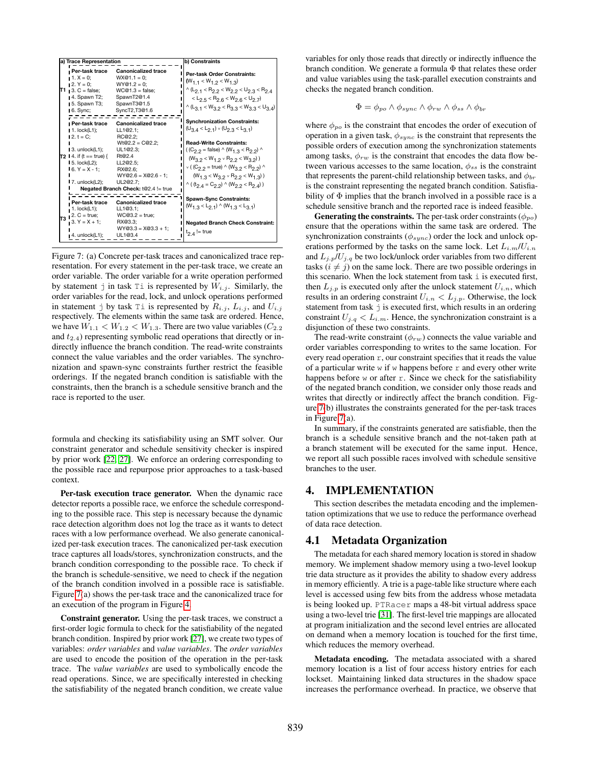<span id="page-6-0"></span>

|    | a) Trace Representation                                                                                                                                        |                                                                                                                                                                                                      | b) Constraints                                                                                                                                                                                                                                                                                                                                                                                                                                                                       |  |  |
|----|----------------------------------------------------------------------------------------------------------------------------------------------------------------|------------------------------------------------------------------------------------------------------------------------------------------------------------------------------------------------------|--------------------------------------------------------------------------------------------------------------------------------------------------------------------------------------------------------------------------------------------------------------------------------------------------------------------------------------------------------------------------------------------------------------------------------------------------------------------------------------|--|--|
|    | ı Per-task trace<br>$1. X = 0$ :<br>$12. Y = 0$ :<br><b>T1</b> $\,$ 3. C = false;<br>4. Spawn T2;<br>5. Spawn T3;<br>6. Sync:                                  | <b>Canonicalized trace</b><br>$WX@1.1 = 0$ :<br>$WY@1.2 = 0$ :<br>$WC@1.3 = false$ :<br>SpawnT2@1.4<br>SpawnT3@1.5<br>SyncT2.T3@1.6                                                                  | Per-task Order Constraints:<br>$(W_1, 1 \leq W_1, 0 \leq W_1, 0)$<br>4 a < R <sub>2 4</sub> و U> و و W> و و A (L <sub>2 1</sub> < R<br>$<$ L <sub>2,5</sub> $<$ R <sub>2,6</sub> $<$ W <sub>2,6</sub> $<$ U <sub>2</sub> ,7)<br>$(4.4 \times 10^{-14})$ $(1.4 \times 10^{-13})$ $(1.4 \times 10^{-13})$ $(1.4 \times 10^{-13})$                                                                                                                                                      |  |  |
|    | I Per-task trace<br>$1.$ lock(L1);<br>$12. t = C:$<br>13. unlock(L1);<br><b>T2</b> 1 4. if (t == true) {<br>5. lock(L2);<br>$6. Y = X - 1$ :<br>7. unlock(L2); | <b>Canonicalized trace</b><br>LL1@2.1:<br>RC@2.2:<br>$Wt@2.2 = C@2.2$<br>UL1@2.3:<br>Rt@2.4<br>LL2@2.5:<br>RX@2.6:<br>$WY@2.6 = X@2.6 - 1$<br>UL2@2.7:<br><b>Negated Branch Check: t@2.4 != true</b> | <b>Synchronization Constraints:</b><br>$(U_{3,4} < L_{2,1}) \vee (U_{2,3} < L_{3,1})$<br><b>Read-Write Constraints:</b><br>( $(C_2$ $_2$ = false) ^ $(W_1$ $_3$ < R <sub>2</sub> $_2$ ) ^<br>$(W_3 2 < W_1 2 < W_2 2 < W_3 2)$<br>$\vee$ (C <sub>22</sub> = true) ^ (W <sub>32</sub> < R <sub>22</sub> ) ^<br>$(W_1, 3 \lt W_3 \gt 0 \lt W_2 \gt 0 \lt W_1 \gt 0)$<br>$\wedge$ ( (t <sub>2</sub> $_4$ = C <sub>2</sub> $_2$ ) $\wedge$ (W <sub>2</sub> $_2$ < R <sub>2</sub> $_4$ )) |  |  |
| TЗ | Per-task trace<br>1. lock(L1);<br>$\blacksquare$ 2. C = true:<br>$3. Y = X + 1$ ;<br>4. unlock(L1);                                                            | <b>Canonicalized trace</b><br>LL1@3.1:<br>$WC@3.2$ = true:<br>RX@3.3:<br>$WY@3.3 = X@3.3 + 1$ :<br>UL1@3.4                                                                                           | <b>Spawn-Sync Constraints:</b><br>$(W_1, 3 < L_2, 1)$ ^ $(W_1, 3 < L_3, 1)$<br><b>Negated Branch Check Constraint:</b><br>$t_{24}$ != true                                                                                                                                                                                                                                                                                                                                           |  |  |

Figure 7: (a) Concrete per-task traces and canonicalized trace representation. For every statement in the per-task trace, we create an order variable. The order variable for a write operation performed by statement j in task  $Ti$  is represented by  $W_{i,j}$ . Similarly, the order variables for the read, lock, and unlock operations performed in statement j by task Ti is represented by  $R_{i,j}$ ,  $L_{i,j}$ , and  $U_{i,j}$ respectively. The elements within the same task are ordered. Hence, we have  $W_{1,1} < W_{1,2} < W_{1,3}$ . There are two value variables  $(C_{2,2})$ and  $t_{2.4}$ ) representing symbolic read operations that directly or indirectly influence the branch condition. The read-write constraints connect the value variables and the order variables. The synchronization and spawn-sync constraints further restrict the feasible orderings. If the negated branch condition is satisfiable with the constraints, then the branch is a schedule sensitive branch and the race is reported to the user.

formula and checking its satisfiability using an SMT solver. Our constraint generator and schedule sensitivity checker is inspired by prior work [\[22,](#page-11-9) [27\]](#page-12-7). We enforce an ordering corresponding to the possible race and repurpose prior approaches to a task-based context.

Per-task execution trace generator. When the dynamic race detector reports a possible race, we enforce the schedule corresponding to the possible race. This step is necessary because the dynamic race detection algorithm does not log the trace as it wants to detect races with a low performance overhead. We also generate canonicalized per-task execution traces. The canonicalized per-task execution trace captures all loads/stores, synchronization constructs, and the branch condition corresponding to the possible race. To check if the branch is schedule-sensitive, we need to check if the negation of the branch condition involved in a possible race is satisfiable. Figure [7\(](#page-6-0)a) shows the per-task trace and the canonicalized trace for an execution of the program in Figure [4.](#page-3-0)

Constraint generator. Using the per-task traces, we construct a first-order logic formula to check for the satisfiability of the negated branch condition. Inspired by prior work [\[27\]](#page-12-7), we create two types of variables: *order variables* and *value variables*. The *order variables* are used to encode the position of the operation in the per-task trace. The *value variables* are used to symbolically encode the read operations. Since, we are specifically interested in checking the satisfiability of the negated branch condition, we create value

variables for only those reads that directly or indirectly influence the branch condition. We generate a formula  $\Phi$  that relates these order and value variables using the task-parallel execution constraints and checks the negated branch condition.

$$
\Phi = \phi_{po} \wedge \phi_{sync} \wedge \phi_{rw} \wedge \phi_{ss} \wedge \phi_{br}
$$

where  $\phi_{po}$  is the constraint that encodes the order of execution of operation in a given task,  $\phi_{sync}$  is the constraint that represents the possible orders of execution among the synchronization statements among tasks,  $\phi_{rw}$  is the constraint that encodes the data flow between various accesses to the same location,  $\phi_{ss}$  is the constraint that represents the parent-child relationship between tasks, and  $\phi_{br}$ is the constraint representing the negated branch condition. Satisfiability of  $\Phi$  implies that the branch involved in a possible race is a schedule sensitive branch and the reported race is indeed feasible.

**Generating the constraints.** The per-task order constraints ( $\phi_{po}$ ) ensure that the operations within the same task are ordered. The synchronization constraints ( $\phi_{sync}$ ) order the lock and unlock operations performed by the tasks on the same lock. Let  $L_{i,m}/U_{i,n}$ and  $L_{j,p}/U_{j,q}$  be two lock/unlock order variables from two different tasks  $(i \neq j)$  on the same lock. There are two possible orderings in this scenario. When the lock statement from task  $\pm$  is executed first, then  $L_{j,p}$  is executed only after the unlock statement  $U_{i,n}$ , which results in an ordering constraint  $U_{i,n} < L_{j,p}$ . Otherwise, the lock statement from task  $\frac{1}{3}$  is executed first, which results in an ordering constraint  $U_{j,q} < L_{i,m}$ . Hence, the synchronization constraint is a disjunction of these two constraints.

The read-write constraint  $(\phi_{rw})$  connects the value variable and order variables corresponding to writes to the same location. For every read operation  $r$ , our constraint specifies that it reads the value of a particular write  $w$  if  $w$  happens before  $r$  and every other write happens before  $w$  or after  $r$ . Since we check for the satisfiability of the negated branch condition, we consider only those reads and writes that directly or indirectly affect the branch condition. Figure [7\(](#page-6-0)b) illustrates the constraints generated for the per-task traces in Figure [7\(](#page-6-0)a).

In summary, if the constraints generated are satisfiable, then the branch is a schedule sensitive branch and the not-taken path at a branch statement will be executed for the same input. Hence, we report all such possible races involved with schedule sensitive branches to the user.

#### 4. IMPLEMENTATION

This section describes the metadata encoding and the implementation optimizations that we use to reduce the performance overhead of data race detection.

## 4.1 Metadata Organization

The metadata for each shared memory location is stored in shadow memory. We implement shadow memory using a two-level lookup trie data structure as it provides the ability to shadow every address in memory efficiently. A trie is a page-table like structure where each level is accessed using few bits from the address whose metadata is being looked up. PTRacer maps a 48-bit virtual address space using a two-level trie [\[31\]](#page-12-12). The first-level trie mappings are allocated at program initialization and the second level entries are allocated on demand when a memory location is touched for the first time, which reduces the memory overhead.

Metadata encoding. The metadata associated with a shared memory location is a list of four access history entries for each lockset. Maintaining linked data structures in the shadow space increases the performance overhead. In practice, we observe that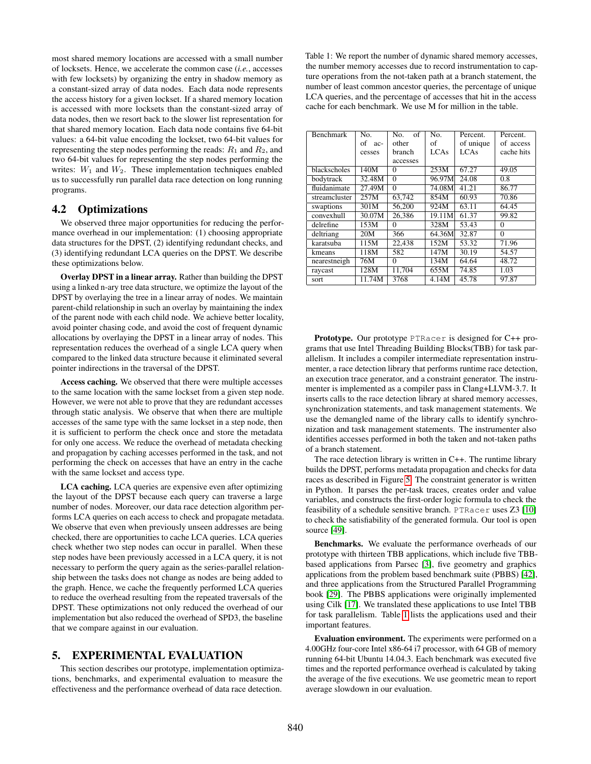most shared memory locations are accessed with a small number of locksets. Hence, we accelerate the common case (*i.e.*, accesses with few locksets) by organizing the entry in shadow memory as a constant-sized array of data nodes. Each data node represents the access history for a given lockset. If a shared memory location is accessed with more locksets than the constant-sized array of data nodes, then we resort back to the slower list representation for that shared memory location. Each data node contains five 64-bit values: a 64-bit value encoding the lockset, two 64-bit values for representing the step nodes performing the reads:  $R_1$  and  $R_2$ , and two 64-bit values for representing the step nodes performing the writes:  $W_1$  and  $W_2$ . These implementation techniques enabled us to successfully run parallel data race detection on long running programs.

#### 4.2 Optimizations

We observed three major opportunities for reducing the performance overhead in our implementation: (1) choosing appropriate data structures for the DPST, (2) identifying redundant checks, and (3) identifying redundant LCA queries on the DPST. We describe these optimizations below.

Overlay DPST in a linear array. Rather than building the DPST using a linked n-ary tree data structure, we optimize the layout of the DPST by overlaying the tree in a linear array of nodes. We maintain parent-child relationship in such an overlay by maintaining the index of the parent node with each child node. We achieve better locality, avoid pointer chasing code, and avoid the cost of frequent dynamic allocations by overlaying the DPST in a linear array of nodes. This representation reduces the overhead of a single LCA query when compared to the linked data structure because it eliminated several pointer indirections in the traversal of the DPST.

Access caching. We observed that there were multiple accesses to the same location with the same lockset from a given step node. However, we were not able to prove that they are redundant accesses through static analysis. We observe that when there are multiple accesses of the same type with the same lockset in a step node, then it is sufficient to perform the check once and store the metadata for only one access. We reduce the overhead of metadata checking and propagation by caching accesses performed in the task, and not performing the check on accesses that have an entry in the cache with the same lockset and access type.

LCA caching. LCA queries are expensive even after optimizing the layout of the DPST because each query can traverse a large number of nodes. Moreover, our data race detection algorithm performs LCA queries on each access to check and propagate metadata. We observe that even when previously unseen addresses are being checked, there are opportunities to cache LCA queries. LCA queries check whether two step nodes can occur in parallel. When these step nodes have been previously accessed in a LCA query, it is not necessary to perform the query again as the series-parallel relationship between the tasks does not change as nodes are being added to the graph. Hence, we cache the frequently performed LCA queries to reduce the overhead resulting from the repeated traversals of the DPST. These optimizations not only reduced the overhead of our implementation but also reduced the overhead of SPD3, the baseline that we compare against in our evaluation.

#### <span id="page-7-0"></span>5. EXPERIMENTAL EVALUATION

This section describes our prototype, implementation optimizations, benchmarks, and experimental evaluation to measure the effectiveness and the performance overhead of data race detection.

<span id="page-7-1"></span>Table 1: We report the number of dynamic shared memory accesses, the number memory accesses due to record instrumentation to capture operations from the not-taken path at a branch statement, the number of least common ancestor queries, the percentage of unique LCA queries, and the percentage of accesses that hit in the access cache for each benchmark. We use M for million in the table.

| <b>Benchmark</b> | No.       | $\sigma$ f<br>No. | No.    | Percent.           | Percent.   |
|------------------|-----------|-------------------|--------|--------------------|------------|
|                  | of<br>ac- | other             | of     | of unique          | of access  |
|                  | cesses    | branch            | LCAs   | LCAs               | cache hits |
|                  |           | accesses          |        |                    |            |
| blackscholes     | 140M      | $\Omega$          | 253M   | 67.27              | 49.05      |
| bodytrack        | 32.48M    | $\Omega$          | 96.97M | 24.08              | 0.8        |
| fluidanimate     | 27.49M    | $\Omega$          | 74.08M | 41.21              | 86.77      |
| streamcluster    | 257M      | 63.742            | 854M   | 60.93              | 70.86      |
| swaptions        | 301M      | 56,200            | 924M   | 63.11              | 64.45      |
| convexhull       | 30.07M    | 26,386            | 19.11M | 61.37              | 99.82      |
| delrefine        | 153M      | $\Omega$          | 328M   | $\overline{53.43}$ | $\Omega$   |
| deltriang        | 20M       | 366               | 64.36M | 32.87              | $\Omega$   |
| karatsuba        | 115M      | 22,438            | 152M   | 53.32              | 71.96      |
| kmeans           | 118M      | 582               | 147M   | 30.19              | 54.57      |
| nearestneigh     | 76M       | $\Omega$          | 134M   | 64.64              | 48.72      |
| raycast          | 128M      | 11.704            | 655M   | 74.85              | 1.03       |
| sort             | 11.74M    | 3768              | 4.14M  | 45.78              | 97.87      |

Prototype. Our prototype PTRacer is designed for C++ programs that use Intel Threading Building Blocks(TBB) for task parallelism. It includes a compiler intermediate representation instrumenter, a race detection library that performs runtime race detection, an execution trace generator, and a constraint generator. The instrumenter is implemented as a compiler pass in Clang+LLVM-3.7. It inserts calls to the race detection library at shared memory accesses, synchronization statements, and task management statements. We use the demangled name of the library calls to identify synchronization and task management statements. The instrumenter also identifies accesses performed in both the taken and not-taken paths of a branch statement.

The race detection library is written in C++. The runtime library builds the DPST, performs metadata propagation and checks for data races as described in Figure [5.](#page-4-0) The constraint generator is written in Python. It parses the per-task traces, creates order and value variables, and constructs the first-order logic formula to check the feasibility of a schedule sensitive branch. PTRacer uses Z3 [\[10\]](#page-11-12) to check the satisfiability of the generated formula. Our tool is open source [\[49\]](#page-12-13).

Benchmarks. We evaluate the performance overheads of our prototype with thirteen TBB applications, which include five TBBbased applications from Parsec [\[3\]](#page-11-13), five geometry and graphics applications from the problem based benchmark suite (PBBS) [\[42\]](#page-12-14), and three applications from the Structured Parallel Programming book [\[29\]](#page-12-15). The PBBS applications were originally implemented using Cilk [\[17\]](#page-11-0). We translated these applications to use Intel TBB for task parallelism. Table [1](#page-7-1) lists the applications used and their important features.

Evaluation environment. The experiments were performed on a 4.00GHz four-core Intel x86-64 i7 processor, with 64 GB of memory running 64-bit Ubuntu 14.04.3. Each benchmark was executed five times and the reported performance overhead is calculated by taking the average of the five executions. We use geometric mean to report average slowdown in our evaluation.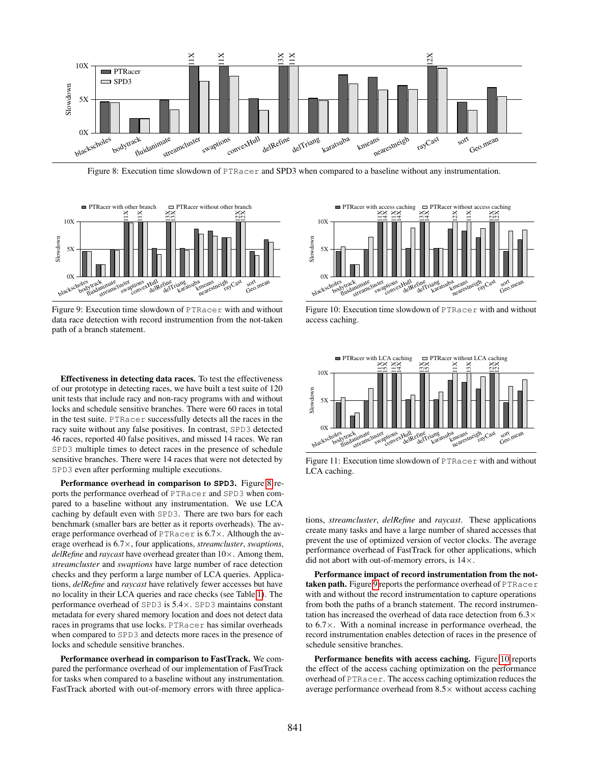<span id="page-8-0"></span>

Figure 8: Execution time slowdown of PTRacer and SPD3 when compared to a baseline without any instrumentation.

<span id="page-8-1"></span>

Figure 9: Execution time slowdown of PTRacer with and without data race detection with record instrumention from the not-taken path of a branch statement.

<span id="page-8-2"></span>

Figure 10: Execution time slowdown of PTRacer with and without access caching.

Effectiveness in detecting data races. To test the effectiveness of our prototype in detecting races, we have built a test suite of 120 unit tests that include racy and non-racy programs with and without locks and schedule sensitive branches. There were 60 races in total in the test suite. PTRacer successfully detects all the races in the racy suite without any false positives. In contrast, SPD3 detected 46 races, reported 40 false positives, and missed 14 races. We ran SPD3 multiple times to detect races in the presence of schedule sensitive branches. There were 14 races that were not detected by SPD3 even after performing multiple executions.

Performance overhead in comparison to **SPD3**. Figure [8](#page-8-0) reports the performance overhead of PTRacer and SPD3 when compared to a baseline without any instrumentation. We use LCA caching by default even with SPD3. There are two bars for each benchmark (smaller bars are better as it reports overheads). The average performance overhead of PTRacer is 6.7×. Although the average overhead is 6.7×, four applications, *streamcluster*, *swaptions*, *delRefine* and *raycast* have overhead greater than 10×. Among them, *streamcluster* and *swaptions* have large number of race detection checks and they perform a large number of LCA queries. Applications, *delRefine* and *raycast* have relatively fewer accesses but have no locality in their LCA queries and race checks (see Table [1\)](#page-7-1). The performance overhead of SPD3 is 5.4×. SPD3 maintains constant metadata for every shared memory location and does not detect data races in programs that use locks. PTRacer has similar overheads when compared to SPD3 and detects more races in the presence of locks and schedule sensitive branches.

Performance overhead in comparison to FastTrack. We compared the performance overhead of our implementation of FastTrack for tasks when compared to a baseline without any instrumentation. FastTrack aborted with out-of-memory errors with three applica-

<span id="page-8-3"></span>

Figure 11: Execution time slowdown of PTRacer with and without LCA caching.

tions, *streamcluster*, *delRefine* and *raycast*. These applications create many tasks and have a large number of shared accesses that prevent the use of optimized version of vector clocks. The average performance overhead of FastTrack for other applications, which did not abort with out-of-memory errors, is  $14\times$ .

Performance impact of record instrumentation from the nottaken path. Figure [9](#page-8-1) reports the performance overhead of PTRacer with and without the record instrumentation to capture operations from both the paths of a branch statement. The record instrumentation has increased the overhead of data race detection from 6.3× to 6.7×. With a nominal increase in performance overhead, the record instrumentation enables detection of races in the presence of schedule sensitive branches.

Performance benefits with access caching. Figure [10](#page-8-2) reports the effect of the access caching optimization on the performance overhead of PTRacer. The access caching optimization reduces the average performance overhead from  $8.5\times$  without access caching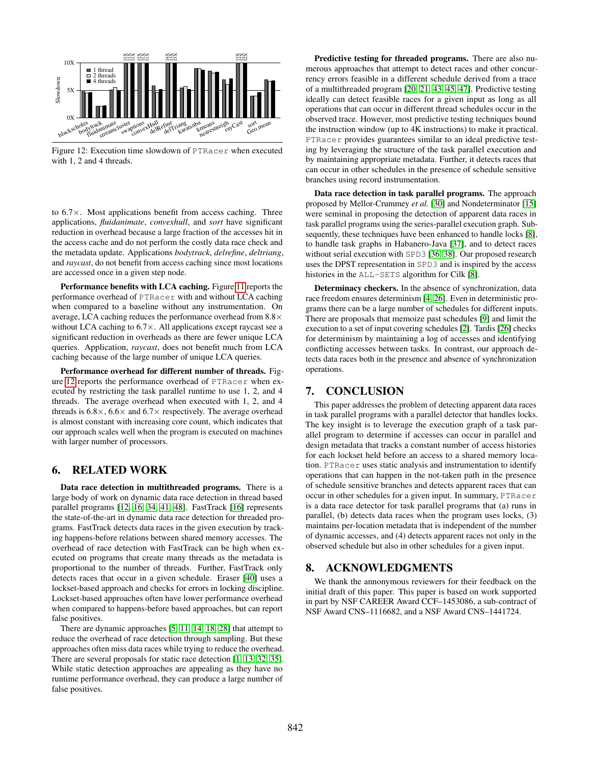<span id="page-9-0"></span>

Figure 12: Execution time slowdown of PTRacer when executed with 1, 2 and 4 threads.

to 6.7×. Most applications benefit from access caching. Three applications, *fluidanimate*, *convexhull*, and *sort* have significant reduction in overhead because a large fraction of the accesses hit in the access cache and do not perform the costly data race check and the metadata update. Applications *bodytrack*, *delrefine*, *deltriang*, and *raycast*, do not benefit from access caching since most locations are accessed once in a given step node.

Performance benefits with LCA caching. Figure [11](#page-8-3) reports the performance overhead of PTRacer with and without LCA caching when compared to a baseline without any instrumentation. On average, LCA caching reduces the performance overhead from 8.8× without LCA caching to 6.7×. All applications except raycast see a significant reduction in overheads as there are fewer unique LCA queries. Application, *raycast*, does not benefit much from LCA caching because of the large number of unique LCA queries.

Performance overhead for different number of threads. Figure [12](#page-9-0) reports the performance overhead of PTRacer when executed by restricting the task parallel runtime to use 1, 2, and 4 threads. The average overhead when executed with 1, 2, and 4 threads is  $6.8 \times$ ,  $6.6 \times$  and  $6.7 \times$  respectively. The average overhead is almost constant with increasing core count, which indicates that our approach scales well when the program is executed on machines with larger number of processors.

## 6. RELATED WORK

Data race detection in multithreaded programs. There is a large body of work on dynamic data race detection in thread based parallel programs [\[12,](#page-11-14) [16,](#page-11-8) [34,](#page-12-16) [41,](#page-12-17) [48\]](#page-12-11). FastTrack [\[16\]](#page-11-8) represents the state-of-the-art in dynamic data race detection for threaded programs. FastTrack detects data races in the given execution by tracking happens-before relations between shared memory accesses. The overhead of race detection with FastTrack can be high when executed on programs that create many threads as the metadata is proportional to the number of threads. Further, FastTrack only detects races that occur in a given schedule. Eraser [\[40\]](#page-12-18) uses a lockset-based approach and checks for errors in locking discipline. Lockset-based approaches often have lower performance overhead when compared to happens-before based approaches, but can report false positives.

There are dynamic approaches [\[5,](#page-11-15) [11,](#page-11-16) [14,](#page-11-17) [18,](#page-11-18) [28\]](#page-12-19) that attempt to reduce the overhead of race detection through sampling. But these approaches often miss data races while trying to reduce the overhead. There are several proposals for static race detection [\[1,](#page-11-19) [13,](#page-11-20) [32,](#page-12-20) [35\]](#page-12-21). While static detection approaches are appealing as they have no runtime performance overhead, they can produce a large number of false positives.

Predictive testing for threaded programs. There are also numerous approaches that attempt to detect races and other concurrency errors feasible in a different schedule derived from a trace of a multithreaded program [\[20,](#page-11-21) [21,](#page-11-11) [43,](#page-12-22) [45,](#page-12-9) [47\]](#page-12-10). Predictive testing ideally can detect feasible races for a given input as long as all operations that can occur in different thread schedules occur in the observed trace. However, most predictive testing techniques bound the instruction window (up to 4K instructions) to make it practical. PTRacer provides guarantees similar to an ideal predictive testing by leveraging the structure of the task parallel execution and by maintaining appropriate metadata. Further, it detects races that can occur in other schedules in the presence of schedule sensitive branches using record instrumentation.

Data race detection in task parallel programs. The approach proposed by Mellor-Crummey *et al.* [\[30\]](#page-12-3) and Nondeterminator [\[15\]](#page-11-7) were seminal in proposing the detection of apparent data races in task parallel programs using the series-parallel execution graph. Subsequently, these techniques have been enhanced to handle locks [\[8\]](#page-11-5), to handle task graphs in Habanero-Java [\[37\]](#page-12-5), and to detect races without serial execution with SPD3 [\[36,](#page-12-6) [38\]](#page-12-4). Our proposed research uses the DPST representation in SPD3 and is inspired by the access histories in the ALL-SETS algorithm for Cilk [\[8\]](#page-11-5).

Determinacy checkers. In the absence of synchronization, data race freedom ensures determinism [\[4,](#page-11-22) [26\]](#page-11-23). Even in deterministic programs there can be a large number of schedules for different inputs. There are proposals that memoize past schedules [\[9\]](#page-11-24) and limit the execution to a set of input covering schedules [\[2\]](#page-11-25). Tardis [\[26\]](#page-11-23) checks for determinism by maintaining a log of accesses and identifying conflicting accesses between tasks. In contrast, our approach detects data races both in the presence and absence of synchronization operations.

# 7. CONCLUSION

This paper addresses the problem of detecting apparent data races in task parallel programs with a parallel detector that handles locks. The key insight is to leverage the execution graph of a task parallel program to determine if accesses can occur in parallel and design metadata that tracks a constant number of access histories for each lockset held before an access to a shared memory location. PTRacer uses static analysis and instrumentation to identify operations that can happen in the not-taken path in the presence of schedule sensitive branches and detects apparent races that can occur in other schedules for a given input. In summary, PTRacer is a data race detector for task parallel programs that (a) runs in parallel, (b) detects data races when the program uses locks, (3) maintains per-location metadata that is independent of the number of dynamic accesses, and (4) detects apparent races not only in the observed schedule but also in other schedules for a given input.

## 8. ACKNOWLEDGMENTS

We thank the annonymous reviewers for their feedback on the initial draft of this paper. This paper is based on work supported in part by NSF CAREER Award CCF–1453086, a sub-contract of NSF Award CNS–1116682, and a NSF Award CNS–1441724.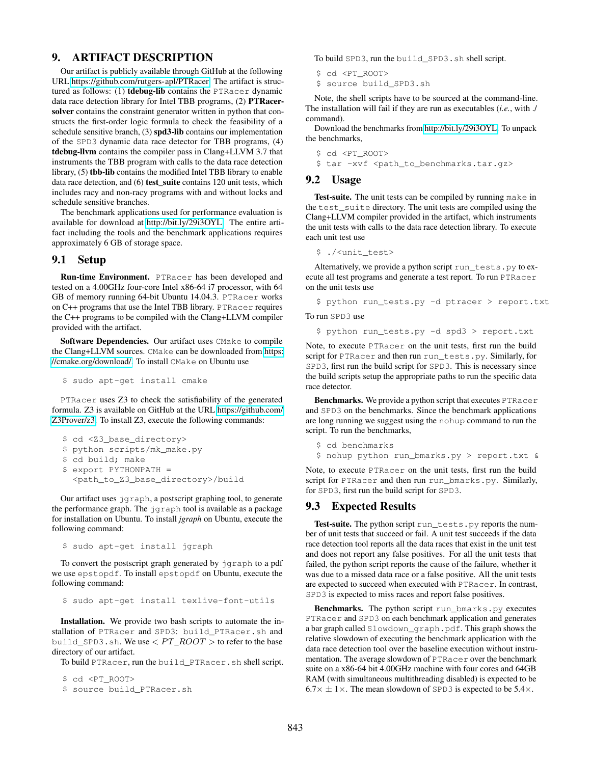# 9. ARTIFACT DESCRIPTION

Our artifact is publicly available through GitHub at the following URL [https://github.com/rutgers-apl/PTRacer.](https://github.com/rutgers-apl/PTRacer) The artifact is structured as follows: (1) tdebug-lib contains the PTRacer dynamic data race detection library for Intel TBB programs, (2) PTRacersolver contains the constraint generator written in python that constructs the first-order logic formula to check the feasibility of a schedule sensitive branch, (3) spd3-lib contains our implementation of the SPD3 dynamic data race detector for TBB programs, (4) tdebug-llvm contains the compiler pass in Clang+LLVM 3.7 that instruments the TBB program with calls to the data race detection library, (5) tbb-lib contains the modified Intel TBB library to enable data race detection, and (6) test\_suite contains 120 unit tests, which includes racy and non-racy programs with and without locks and schedule sensitive branches.

The benchmark applications used for performance evaluation is available for download at [http://bit.ly/29i3OYL.](http://bit.ly/29i3OYL) The entire artifact including the tools and the benchmark applications requires approximately 6 GB of storage space.

## 9.1 Setup

Run-time Environment. PTRacer has been developed and tested on a 4.00GHz four-core Intel x86-64 i7 processor, with 64 GB of memory running 64-bit Ubuntu 14.04.3. PTRacer works on C++ programs that use the Intel TBB library. PTRacer requires the C++ programs to be compiled with the Clang+LLVM compiler provided with the artifact.

Software Dependencies. Our artifact uses CMake to compile the Clang+LLVM sources. CMake can be downloaded from [https:](https://cmake.org/download/) [//cmake.org/download/.](https://cmake.org/download/) To install CMake on Ubuntu use

```
$ sudo apt-get install cmake
```
PTRacer uses Z3 to check the satisfiability of the generated formula. Z3 is available on GitHub at the URL [https://github.com/](https://github.com/Z3Prover/z3) [Z3Prover/z3.](https://github.com/Z3Prover/z3) To install Z3, execute the following commands:

```
$ cd <Z3_base_directory>
```

```
$ python scripts/mk_make.py
```

```
$ cd build; make
```

```
$ export PYTHONPATH =
  <path_to_Z3_base_directory>/build
```
Our artifact uses jgraph, a postscript graphing tool, to generate the performance graph. The jgraph tool is available as a package for installation on Ubuntu. To install *jgraph* on Ubuntu, execute the following command:

```
$ sudo apt-get install jgraph
```
To convert the postscript graph generated by jgraph to a pdf we use epstopdf. To install epstopdf on Ubuntu, execute the following command:

```
$ sudo apt-get install texlive-font-utils
```
Installation. We provide two bash scripts to automate the installation of PTRacer and SPD3: build\_PTRacer.sh and build\_SPD3.sh. We use  $\langle PT\_ROOT \rangle$  to refer to the base directory of our artifact.

To build PTRacer, run the build\_PTRacer.sh shell script.

```
$ cd <PT_ROOT>
```

```
$ source build_PTRacer.sh
```
To build SPD3, run the build\_SPD3.sh shell script.

```
$ cd <PT_ROOT>
```
\$ source build\_SPD3.sh

Note, the shell scripts have to be sourced at the command-line. The installation will fail if they are run as executables (*i.e.*, with ./ command).

Download the benchmarks from [http://bit.ly/29i3OYL.](http://bit.ly/29i3OYL) To unpack the benchmarks,

```
$ cd <PT_ROOT>
```
\$ tar -xvf <path\_to\_benchmarks.tar.gz>

## 9.2 Usage

Test-suite. The unit tests can be compiled by running make in the test\_suite directory. The unit tests are compiled using the Clang+LLVM compiler provided in the artifact, which instruments the unit tests with calls to the data race detection library. To execute each unit test use

```
$ ./<unit_test>
```
Alternatively, we provide a python script run\_tests.py to execute all test programs and generate a test report. To run PTRacer on the unit tests use

```
$ python run_tests.py -d ptracer > report.txt
```
To run SPD3 use

```
$ python run_tests.py -d spd3 > report.txt
```
Note, to execute PTRacer on the unit tests, first run the build script for PTRacer and then run run\_tests.py. Similarly, for SPD3, first run the build script for SPD3. This is necessary since the build scripts setup the appropriate paths to run the specific data race detector.

Benchmarks. We provide a python script that executes PTRacer and SPD3 on the benchmarks. Since the benchmark applications are long running we suggest using the nohup command to run the script. To run the benchmarks,

```
$ cd benchmarks
$ nohup python run_bmarks.py > report.txt &
```
Note, to execute PTRacer on the unit tests, first run the build script for PTRacer and then run run\_bmarks.py. Similarly, for SPD3, first run the build script for SPD3.

## 9.3 Expected Results

Test-suite. The python script run\_tests.py reports the number of unit tests that succeed or fail. A unit test succeeds if the data race detection tool reports all the data races that exist in the unit test and does not report any false positives. For all the unit tests that failed, the python script reports the cause of the failure, whether it was due to a missed data race or a false positive. All the unit tests are expected to succeed when executed with PTRacer. In contrast, SPD3 is expected to miss races and report false positives.

Benchmarks. The python script run\_bmarks.py executes PTRacer and SPD3 on each benchmark application and generates a bar graph called Slowdown\_graph.pdf. This graph shows the relative slowdown of executing the benchmark application with the data race detection tool over the baseline execution without instrumentation. The average slowdown of PTRacer over the benchmark suite on a x86-64 bit 4.00GHz machine with four cores and 64GB RAM (with simultaneous multithreading disabled) is expected to be  $6.7\times \pm 1\times$ . The mean slowdown of SPD3 is expected to be 5.4 $\times$ .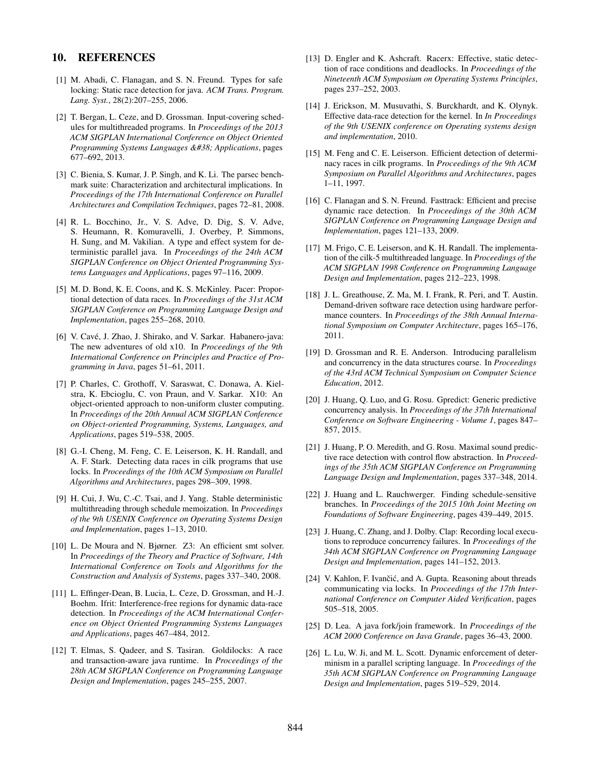## 10. REFERENCES

- <span id="page-11-19"></span>[1] M. Abadi, C. Flanagan, and S. N. Freund. Types for safe locking: Static race detection for java. *ACM Trans. Program. Lang. Syst.*, 28(2):207–255, 2006.
- <span id="page-11-25"></span>[2] T. Bergan, L. Ceze, and D. Grossman. Input-covering schedules for multithreaded programs. In *Proceedings of the 2013 ACM SIGPLAN International Conference on Object Oriented Programming Systems Languages & Applications*, pages 677–692, 2013.
- <span id="page-11-13"></span>[3] C. Bienia, S. Kumar, J. P. Singh, and K. Li. The parsec benchmark suite: Characterization and architectural implications. In *Proceedings of the 17th International Conference on Parallel Architectures and Compilation Techniques*, pages 72–81, 2008.
- <span id="page-11-22"></span>[4] R. L. Bocchino, Jr., V. S. Adve, D. Dig, S. V. Adve, S. Heumann, R. Komuravelli, J. Overbey, P. Simmons, H. Sung, and M. Vakilian. A type and effect system for deterministic parallel java. In *Proceedings of the 24th ACM SIGPLAN Conference on Object Oriented Programming Systems Languages and Applications*, pages 97–116, 2009.
- <span id="page-11-15"></span>[5] M. D. Bond, K. E. Coons, and K. S. McKinley. Pacer: Proportional detection of data races. In *Proceedings of the 31st ACM SIGPLAN Conference on Programming Language Design and Implementation*, pages 255–268, 2010.
- <span id="page-11-1"></span>[6] V. Cavé, J. Zhao, J. Shirako, and V. Sarkar. Habanero-java: The new adventures of old x10. In *Proceedings of the 9th International Conference on Principles and Practice of Programming in Java*, pages 51–61, 2011.
- <span id="page-11-2"></span>[7] P. Charles, C. Grothoff, V. Saraswat, C. Donawa, A. Kielstra, K. Ebcioglu, C. von Praun, and V. Sarkar. X10: An object-oriented approach to non-uniform cluster computing. In *Proceedings of the 20th Annual ACM SIGPLAN Conference on Object-oriented Programming, Systems, Languages, and Applications*, pages 519–538, 2005.
- <span id="page-11-5"></span>[8] G.-I. Cheng, M. Feng, C. E. Leiserson, K. H. Randall, and A. F. Stark. Detecting data races in cilk programs that use locks. In *Proceedings of the 10th ACM Symposium on Parallel Algorithms and Architectures*, pages 298–309, 1998.
- <span id="page-11-24"></span>[9] H. Cui, J. Wu, C.-C. Tsai, and J. Yang. Stable deterministic multithreading through schedule memoization. In *Proceedings of the 9th USENIX Conference on Operating Systems Design and Implementation*, pages 1–13, 2010.
- <span id="page-11-12"></span>[10] L. De Moura and N. Bjørner. Z3: An efficient smt solver. In *Proceedings of the Theory and Practice of Software, 14th International Conference on Tools and Algorithms for the Construction and Analysis of Systems*, pages 337–340, 2008.
- <span id="page-11-16"></span>[11] L. Effinger-Dean, B. Lucia, L. Ceze, D. Grossman, and H.-J. Boehm. Ifrit: Interference-free regions for dynamic data-race detection. In *Proceedings of the ACM International Conference on Object Oriented Programming Systems Languages and Applications*, pages 467–484, 2012.
- <span id="page-11-14"></span>[12] T. Elmas, S. Qadeer, and S. Tasiran. Goldilocks: A race and transaction-aware java runtime. In *Proceedings of the 28th ACM SIGPLAN Conference on Programming Language Design and Implementation*, pages 245–255, 2007.
- <span id="page-11-20"></span>[13] D. Engler and K. Ashcraft. Racerx: Effective, static detection of race conditions and deadlocks. In *Proceedings of the Nineteenth ACM Symposium on Operating Systems Principles*, pages 237–252, 2003.
- <span id="page-11-17"></span>[14] J. Erickson, M. Musuvathi, S. Burckhardt, and K. Olynyk. Effective data-race detection for the kernel. In *In Proceedings of the 9th USENIX conference on Operating systems design and implementation*, 2010.
- <span id="page-11-7"></span>[15] M. Feng and C. E. Leiserson. Efficient detection of determinacy races in cilk programs. In *Proceedings of the 9th ACM Symposium on Parallel Algorithms and Architectures*, pages 1–11, 1997.
- <span id="page-11-8"></span>[16] C. Flanagan and S. N. Freund. Fasttrack: Efficient and precise dynamic race detection. In *Proceedings of the 30th ACM SIGPLAN Conference on Programming Language Design and Implementation*, pages 121–133, 2009.
- <span id="page-11-0"></span>[17] M. Frigo, C. E. Leiserson, and K. H. Randall. The implementation of the cilk-5 multithreaded language. In *Proceedings of the ACM SIGPLAN 1998 Conference on Programming Language Design and Implementation*, pages 212–223, 1998.
- <span id="page-11-18"></span>[18] J. L. Greathouse, Z. Ma, M. I. Frank, R. Peri, and T. Austin. Demand-driven software race detection using hardware performance counters. In *Proceedings of the 38th Annual International Symposium on Computer Architecture*, pages 165–176, 2011.
- <span id="page-11-4"></span>[19] D. Grossman and R. E. Anderson. Introducing parallelism and concurrency in the data structures course. In *Proceedings of the 43rd ACM Technical Symposium on Computer Science Education*, 2012.
- <span id="page-11-21"></span>[20] J. Huang, O. Luo, and G. Rosu. Gpredict: Generic predictive concurrency analysis. In *Proceedings of the 37th International Conference on Software Engineering - Volume 1*, pages 847– 857, 2015.
- <span id="page-11-11"></span>[21] J. Huang, P. O. Meredith, and G. Rosu. Maximal sound predictive race detection with control flow abstraction. In *Proceedings of the 35th ACM SIGPLAN Conference on Programming Language Design and Implementation*, pages 337–348, 2014.
- <span id="page-11-9"></span>[22] J. Huang and L. Rauchwerger. Finding schedule-sensitive branches. In *Proceedings of the 2015 10th Joint Meeting on Foundations of Software Engineering*, pages 439–449, 2015.
- <span id="page-11-10"></span>[23] J. Huang, C. Zhang, and J. Dolby. Clap: Recording local executions to reproduce concurrency failures. In *Proceedings of the 34th ACM SIGPLAN Conference on Programming Language Design and Implementation*, pages 141–152, 2013.
- <span id="page-11-6"></span>[24] V. Kahlon, F. Ivančić, and A. Gupta. Reasoning about threads communicating via locks. In *Proceedings of the 17th International Conference on Computer Aided Verification*, pages 505–518, 2005.
- <span id="page-11-3"></span>[25] D. Lea. A java fork/join framework. In *Proceedings of the ACM 2000 Conference on Java Grande*, pages 36–43, 2000.
- <span id="page-11-23"></span>[26] L. Lu, W. Ji, and M. L. Scott. Dynamic enforcement of determinism in a parallel scripting language. In *Proceedings of the 35th ACM SIGPLAN Conference on Programming Language Design and Implementation*, pages 519–529, 2014.